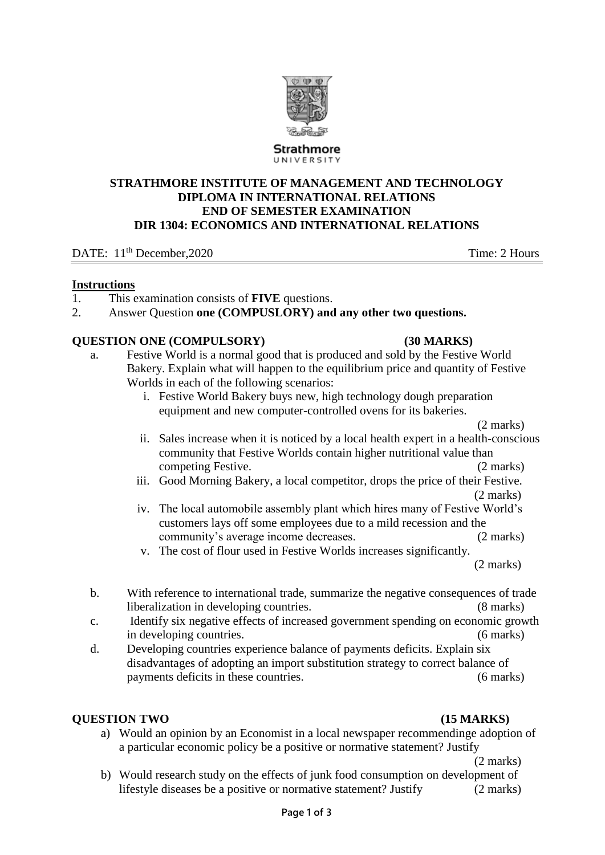# UNIVERSITY

### **STRATHMORE INSTITUTE OF MANAGEMENT AND TECHNOLOGY DIPLOMA IN INTERNATIONAL RELATIONS END OF SEMESTER EXAMINATION DIR 1304: ECONOMICS AND INTERNATIONAL RELATIONS**

DATE: 11<sup>th</sup> December, 2020 Time: 2 Hours

### **Instructions**

- 1. This examination consists of **FIVE** questions.
- 2. Answer Question **one (COMPUSLORY) and any other two questions.**

# **QUESTION ONE (COMPULSORY) (30 MARKS)**

- a. Festive World is a normal good that is produced and sold by the Festive World Bakery. Explain what will happen to the equilibrium price and quantity of Festive Worlds in each of the following scenarios:
	- i. Festive World Bakery buys new, high technology dough preparation equipment and new computer-controlled ovens for its bakeries.
		- (2 marks)
	- ii. Sales increase when it is noticed by a local health expert in a health-conscious community that Festive Worlds contain higher nutritional value than competing Festive. (2 marks)
	- iii. Good Morning Bakery, a local competitor, drops the price of their Festive. (2 marks)
	- iv. The local automobile assembly plant which hires many of Festive World's customers lays off some employees due to a mild recession and the community's average income decreases. (2 marks)
	- v. The cost of flour used in Festive Worlds increases significantly.

(2 marks)

- b. With reference to international trade, summarize the negative consequences of trade liberalization in developing countries. (8 marks)
- c. Identify six negative effects of increased government spending on economic growth in developing countries. (6 marks)
- d. Developing countries experience balance of payments deficits. Explain six disadvantages of adopting an import substitution strategy to correct balance of payments deficits in these countries. (6 marks)

### **QUESTION TWO (15 MARKS)**

- 
- a) Would an opinion by an Economist in a local newspaper recommendinge adoption of a particular economic policy be a positive or normative statement? Justify

(2 marks)

b) Would research study on the effects of junk food consumption on development of lifestyle diseases be a positive or normative statement? Justify (2 marks)



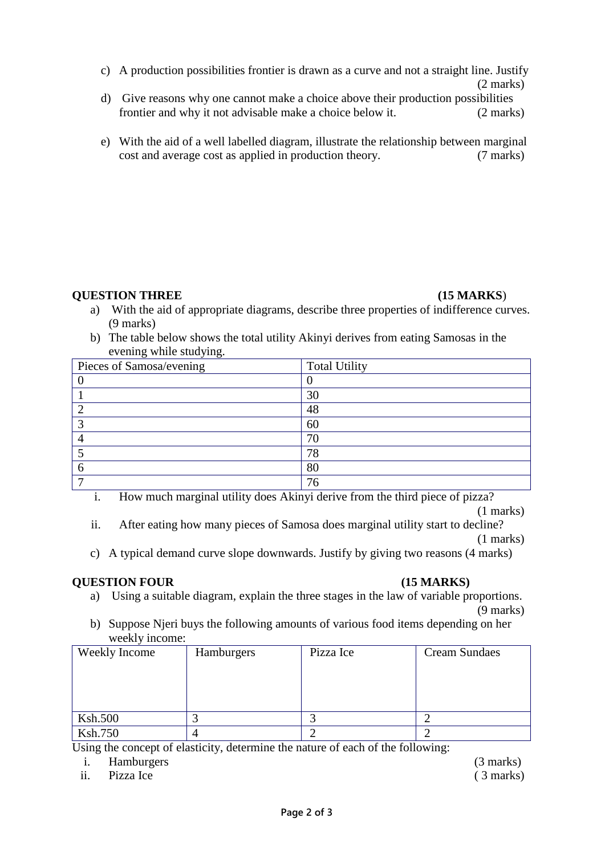- c) A production possibilities frontier is drawn as a curve and not a straight line. Justify
	- (2 marks)
- d) Give reasons why one cannot make a choice above their production possibilities frontier and why it not advisable make a choice below it. (2 marks)
- e) With the aid of a well labelled diagram, illustrate the relationship between marginal cost and average cost as applied in production theory. (7 marks)

# **QUESTION THREE (15 MARKS**)

- a) With the aid of appropriate diagrams, describe three properties of indifference curves. (9 marks)
- b) The table below shows the total utility Akinyi derives from eating Samosas in the evening while studying.

| Pieces of Samosa/evening | <b>Total Utility</b> |
|--------------------------|----------------------|
|                          |                      |
|                          | 30                   |
|                          | 48                   |
|                          | 60                   |
|                          | 70                   |
|                          | 78                   |
|                          | 80                   |
|                          | 76                   |

i. How much marginal utility does Akinyi derive from the third piece of pizza?

(1 marks)

ii. After eating how many pieces of Samosa does marginal utility start to decline? (1 marks)

c) A typical demand curve slope downwards. Justify by giving two reasons (4 marks)

### **QUESTION FOUR (15 MARKS)**

- a) Using a suitable diagram, explain the three stages in the law of variable proportions. (9 marks)
- b) Suppose Njeri buys the following amounts of various food items depending on her weekly income:

| Weekly Income | Hamburgers | Pizza Ice | <b>Cream Sundaes</b> |
|---------------|------------|-----------|----------------------|
|               |            |           |                      |
|               |            |           |                      |
|               |            |           |                      |
| Ksh.500       |            |           |                      |
| Ksh.750       |            |           |                      |

Using the concept of elasticity, determine the nature of each of the following:

| <i>i.</i> Hamburgers | $(3 \text{ marks})$ |
|----------------------|---------------------|
| ii. Pizza Ice        | $(3$ marks)         |